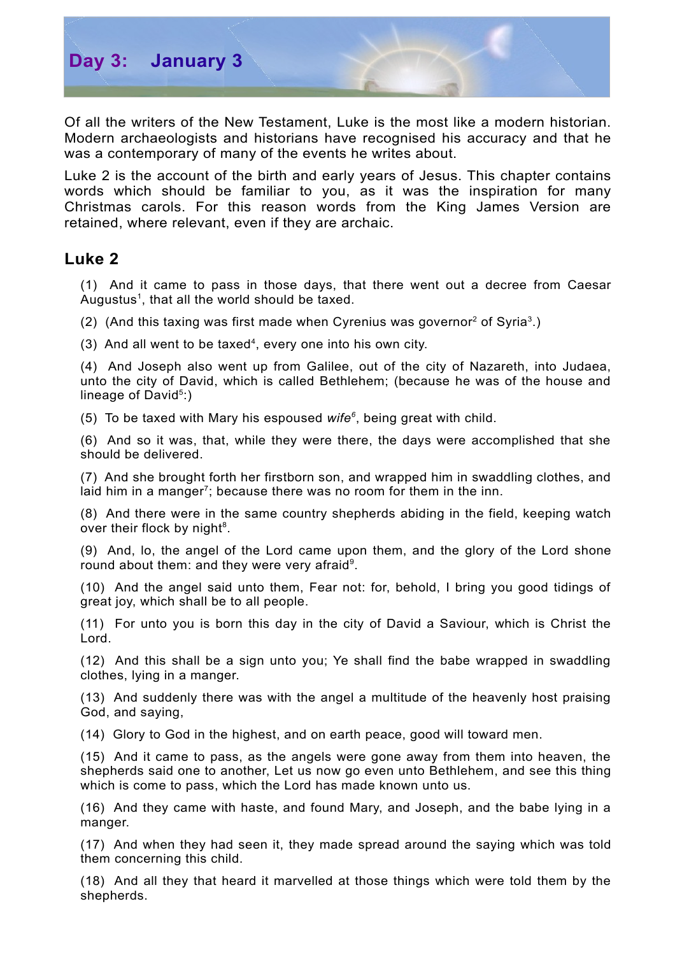

Of all the writers of the New Testament, Luke is the most like a modern historian. Modern archaeologists and historians have recognised his accuracy and that he was a contemporary of many of the events he writes about.

Luke 2 is the account of the birth and early years of Jesus. This chapter contains words which should be familiar to you, as it was the inspiration for many Christmas carols. For this reason words from the King James Version are retained, where relevant, even if they are archaic.

## **Luke 2**

(1) And it came to pass in those days, that there went out a decree from Caesar Augustus<sup>[1](#page-2-0)</sup>, that all the world should be taxed.

([2](#page-2-1)) (And this taxing was first made when Cyrenius was governor<sup>2</sup> of Syria<sup>[3](#page-2-2)</sup>.)

(3) And all went to be taxed [4](#page-2-3) , every one into his own city.

(4) And Joseph also went up from Galilee, out of the city of Nazareth, into Judaea, unto the city of David, which is called Bethlehem; (because he was of the house and lineage of David<sup>[5](#page-2-4)</sup>:)

(5) To be taxed with Mary his espoused *wife [6](#page-2-5)* , being great with child.

(6) And so it was, that, while they were there, the days were accomplished that she should be delivered.

(7) And she brought forth her firstborn son, and wrapped him in swaddling clothes, and laid him in a manger<sup>[7](#page-2-6)</sup>; because there was no room for them in the inn.

(8) And there were in the same country shepherds abiding in the field, keeping watch over their flock by night<sup>[8](#page-2-7)</sup>.

(9) And, lo, the angel of the Lord came upon them, and the glory of the Lord shone round about them: and they were very afraid<sup>[9](#page-2-8)</sup>.

(10) And the angel said unto them, Fear not: for, behold, I bring you good tidings of great joy, which shall be to all people.

(11) For unto you is born this day in the city of David a Saviour, which is Christ the Lord.

(12) And this shall be a sign unto you; Ye shall find the babe wrapped in swaddling clothes, lying in a manger.

(13) And suddenly there was with the angel a multitude of the heavenly host praising God, and saying,

(14) Glory to God in the highest, and on earth peace, good will toward men.

(15) And it came to pass, as the angels were gone away from them into heaven, the shepherds said one to another, Let us now go even unto Bethlehem, and see this thing which is come to pass, which the Lord has made known unto us.

(16) And they came with haste, and found Mary, and Joseph, and the babe lying in a manger.

(17) And when they had seen it, they made spread around the saying which was told them concerning this child.

(18) And all they that heard it marvelled at those things which were told them by the shepherds.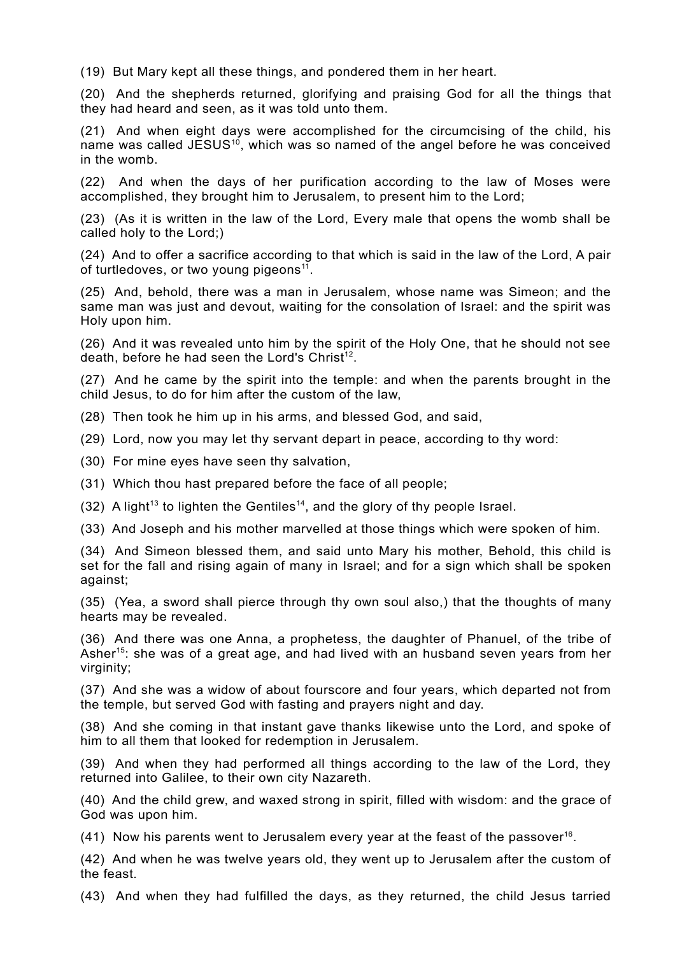(19) But Mary kept all these things, and pondered them in her heart.

(20) And the shepherds returned, glorifying and praising God for all the things that they had heard and seen, as it was told unto them.

(21) And when eight days were accomplished for the circumcising of the child, his name was called JESUS<sup>[10](#page-2-9)</sup>, which was so named of the angel before he was conceived in the womb.

(22) And when the days of her purification according to the law of Moses were accomplished, they brought him to Jerusalem, to present him to the Lord;

(23) (As it is written in the law of the Lord, Every male that opens the womb shall be called holy to the Lord;)

(24) And to offer a sacrifice according to that which is said in the law of the Lord, A pair of turtledoves, or two young pigeons<sup>[11](#page-2-10)</sup>.

(25) And, behold, there was a man in Jerusalem, whose name was Simeon; and the same man was just and devout, waiting for the consolation of Israel: and the spirit was Holy upon him.

(26) And it was revealed unto him by the spirit of the Holy One, that he should not see death, before he had seen the Lord's Christ<sup>[12](#page-2-11)</sup>.

(27) And he came by the spirit into the temple: and when the parents brought in the child Jesus, to do for him after the custom of the law,

(28) Then took he him up in his arms, and blessed God, and said,

(29) Lord, now you may let thy servant depart in peace, according to thy word:

(30) For mine eyes have seen thy salvation,

(31) Which thou hast prepared before the face of all people;

 $(32)$  A light<sup>[13](#page-2-12)</sup> to lighten the Gentiles<sup>[14](#page-2-13)</sup>, and the glory of thy people Israel.

(33) And Joseph and his mother marvelled at those things which were spoken of him.

(34) And Simeon blessed them, and said unto Mary his mother, Behold, this child is set for the fall and rising again of many in Israel; and for a sign which shall be spoken against;

(35) (Yea, a sword shall pierce through thy own soul also,) that the thoughts of many hearts may be revealed.

(36) And there was one Anna, a prophetess, the daughter of Phanuel, of the tribe of Asher<sup>[15](#page-2-14)</sup>: she was of a great age, and had lived with an husband seven years from her virginity;

(37) And she was a widow of about fourscore and four years, which departed not from the temple, but served God with fasting and prayers night and day.

(38) And she coming in that instant gave thanks likewise unto the Lord, and spoke of him to all them that looked for redemption in Jerusalem.

(39) And when they had performed all things according to the law of the Lord, they returned into Galilee, to their own city Nazareth.

(40) And the child grew, and waxed strong in spirit, filled with wisdom: and the grace of God was upon him.

(41) Now his parents went to Jerusalem every year at the feast of the passover [16](#page-2-15) .

(42) And when he was twelve years old, they went up to Jerusalem after the custom of the feast.

(43) And when they had fulfilled the days, as they returned, the child Jesus tarried